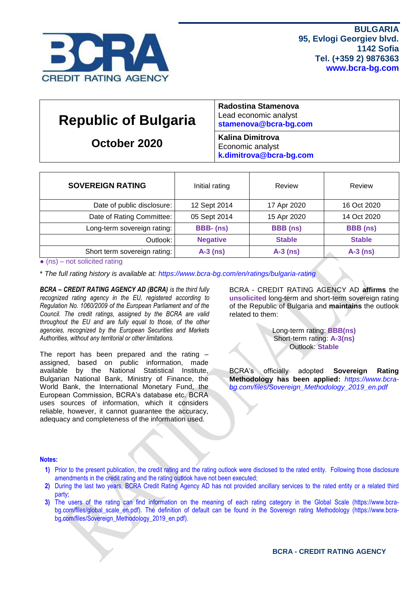

| <b>Republic of Bulgaria</b> | Radostina Stamenova<br>Lead economic analyst<br>stamenova@bcra-bg.com  |
|-----------------------------|------------------------------------------------------------------------|
| October 2020                | <b>Kalina Dimitrova</b><br>Economic analyst<br>k.dimitrova@bcra-bg.com |

| <b>SOVEREIGN RATING</b>      | Initial rating  | Review          | Review          |  |  |
|------------------------------|-----------------|-----------------|-----------------|--|--|
| Date of public disclosure:   | 12 Sept 2014    | 17 Apr 2020     | 16 Oct 2020     |  |  |
| Date of Rating Committee:    | 05 Sept 2014    | 15 Apr 2020     | 14 Oct 2020     |  |  |
| Long-term sovereign rating:  | BBB-(ns)        | <b>BBB</b> (ns) | <b>BBB</b> (ns) |  |  |
| Outlook:                     | <b>Negative</b> | <b>Stable</b>   | <b>Stable</b>   |  |  |
| Short term sovereign rating: | $A-3$ (ns)      | $A-3$ (ns)      | $A-3$ (ns)      |  |  |

 $\bullet$  (ns) – not solicited rating

\* *The full rating history is available at:<https://www.bcra-bg.com/en/ratings/bulgaria-rating>*

*BCRA – CREDIT RATING AGENCY AD (BCRA) is the third fully recognized rating agency in the EU, registered according to Regulation No. 1060/2009 of the European Parliament and of the Council. The credit ratings, assigned by the BCRA are valid throughout the EU and are fully equal to those, of the other agencies, recognized by the European Securities and Markets Authorities, without any territorial or other limitations.*

The report has been prepared and the rating – assigned, based on public information, made available by the National Statistical Institute, Bulgarian National Bank, Ministry of Finance, the World Bank, the International Monetary Fund, the European Commission, BCRA's database etc. BCRA uses sources of information, which it considers reliable, however, it cannot guarantee the accuracy, adequacy and completeness of the information used.

BCRA - CREDIT RATING AGENCY AD **affirms** the **unsolicited** long-term and short-term sovereign rating of the Republic of Bulgaria and **maintains** the outlook related to them:

> Long-term rating: **BBB(ns)** Short-term rating: **A-3(ns)** Outlook: **Stable**

BCRA's officially adopted **Sovereign Rating Methodology has been applied:** *[https://www.bcra](https://www.bcra-bg.com/files/Sovereign_Methodology_2019_en.pdf)[bg.com/files/Sovereign\\_Methodology\\_2019\\_en.pdf](https://www.bcra-bg.com/files/Sovereign_Methodology_2019_en.pdf)*

#### **Notes:**

- **1)** Prior to the present publication, the credit rating and the rating outlook were disclosed to the rated entity. Following those disclosure amendments in the credit rating and the rating outlook have not been executed;
- **2)** During the last two years, BCRA Credit Rating Agency AD has not provided ancillary services to the rated entity or a related third party;
- **3)** The users of the rating can find information on the meaning of each rating category in the Global Scale [\(https://www.bcra-](https://www.bcra-bg.com/files/global_scale_en.pdf)bg.com/files/global scale en.pdf). The definition of default can be found in the Sovereign rating Methodology [\(https://www.bcra](https://www.bcra-bg.com/files/Sovereign_Methodology_2019_en.pdf)[bg.com/files/Sovereign\\_Methodology\\_2019\\_en.pdf\)](https://www.bcra-bg.com/files/Sovereign_Methodology_2019_en.pdf).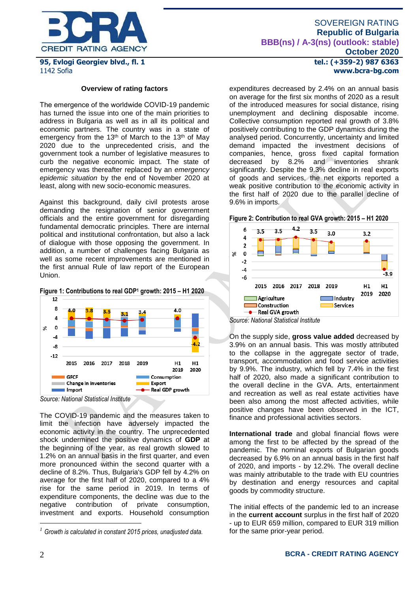

#### **Overview of rating factors**

Тhe emergence of the worldwide COVID-19 pandemic has turned the issue into one of the main priorities to address in Bulgaria as well as in all its political and economic partners. The country was in a state of emergency from the 13<sup>th</sup> of March to the 13<sup>th</sup> of May 2020 due to the unprecedented crisis, and the government took a number of legislative measures to curb the negative economic impact. The state of emergency was thereafter replaced by an *emergency epidemic situation* by the end of November 2020 at least, along with new socio-economic measures.

Against this background, daily civil protests arose demanding the resignation of senior government officials and the entire government for disregarding fundamental democratic principles. There are internal political and institutional confrontation, but also a lack of dialogue with those opposing the government. In addition, a number of challenges facing Bulgaria as well as some recent improvements are mentioned in the first annual Rule of law report of the European Union.





The COVID-19 pandemic and the measures taken to limit the infection have adversely impacted the economic activity in the country. The unprecedented shock undermined the positive dynamics of **GDP** at the beginning of the year, as real growth slowed to 1.2% on an annual basis in the first quarter, and even more pronounced within the second quarter with a decline of 8.2%. Thus, Bulgaria's GDP fell by 4.2% on average for the first half of 2020, compared to a 4% rise for the same period in 2019. In terms of expenditure components, the decline was due to the negative contribution of private consumption, investment and exports. Household consumption

**tel.: (+359-2) 987 6363 www.bcra-bg.com** 

expenditures decreased by 2.4% on an annual basis on average for the first six months of 2020 as a result of the introduced measures for social distance, rising unemployment and declining disposable income. Collective consumption reported real growth of 3.8% positively contributing to the GDP dynamics during the analysed period. Concurrently, uncertainty and limited demand impacted the investment decisions of companies, hence, gross fixed capital formation decreased by 8.2% and inventories shrank significantly. Despite the 9.3% decline in real exports of goods and services, the net exports reported a weak positive contribution to the economic activity in the first half of 2020 due to the parallel decline of 9.6% in imports.

**Figure 2: Contribution to real GVA growth: 2015 – H1 2020**



*Source: National Statistical Institute*

On the supply side, **gross value added** decreased by 3.9% on an annual basis. This was mostly attributed to the collapse in the aggregate sector of trade, transport, accommodation and food service activities by 9.9%. The industry, which fell by 7.4% in the first half of 2020, also made a significant contribution to the overall decline in the GVA. Arts, entertainment and recreation as well as real estate activities have been also among the most affected activities, while positive changes have been observed in the ICT, finance and professional activities sectors.

**International trade** and global financial flows were among the first to be affected by the spread of the pandemic. The nominal exports of Bulgarian goods decreased by 6.9% on an annual basis in the first half of 2020, and imports - by 12.2%. The overall decline was mainly attributable to the trade with EU countries by destination and energy resources and capital goods by commodity structure.

The initial effects of the pandemic led to an increase in the **current account** surplus in the first half of 2020 - up to EUR 659 million, compared to EUR 319 million for the same prior-year period.

<u>.</u>

*<sup>1</sup> Growth is calculated in constant 2015 prices, unadjusted data.*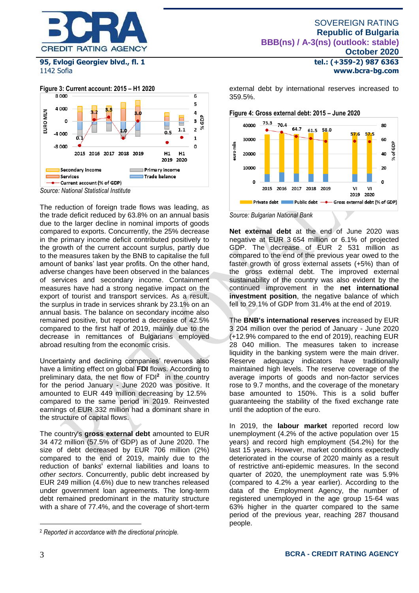



The reduction of foreign trade flows was leading, as the trade deficit reduced by 63.8% on an annual basis due to the larger decline in nominal imports of goods compared to exports. Concurrently, the 25% decrease in the primary income deficit contributed positively to the growth of the current account surplus, partly due to the measures taken by the BNB to capitalise the full amount of banks' last year profits. On the other hand, adverse changes have been observed in the balances of services and secondary income. Containment measures have had a strong negative impact on the export of tourist and transport services. As a result, the surplus in trade in services shrank by 23.1% on an annual basis. The balance on secondary income also remained positive, but reported a decrease of 42.5% compared to the first half of 2019, mainly due to the decrease in remittances of Bulgarians employed abroad resulting from the economic crisis.

Uncertainty and declining companies' revenues also have a limiting effect on global **FDI** flows. According to preliminary data, the net flow of FDI**<sup>2</sup>** in the country for the period January - June 2020 was positive. It amounted to EUR 449 million decreasing by 12.5% compared to the same period in 2019. Reinvested earnings of EUR 332 million had a dominant share in the structure of capital flows.

The country's **gross external debt** amounted to EUR 34 472 million (57.5% of GDP) as of June 2020. The size of debt decreased by EUR 706 million (2%) compared to the end of 2019, mainly due to the reduction of banks' external liabilities and loans to *other sectors*. Concurrently, public debt increased by EUR 249 million (4.6%) due to new tranches released under government loan agreements. The long-term debt remained predominant in the maturity structure with a share of 77.4%, and the coverage of short-term

**tel.: (+359-2) 987 6363 www.bcra-bg.com** 

external debt by international reserves increased to 359.5%.



*Source: Bulgarian National Bank*

**Net external debt** at the end of June 2020 was negative at EUR 3 654 million or 6.1% of projected GDP. The decrease of EUR 2 531 million as compared to the end of the previous year owed to the faster growth of gross external assets (+5%) than of the gross external debt. The improved external sustainability of the country was also evident by the continued improvement in the **net international investment position**, the negative balance of which fell to 29.1% of GDP from 31.4% at the end of 2019.

The **BNB's international reserves** increased by EUR 3 204 million over the period of January - June 2020 (+12.9% compared to the end of 2019), reaching EUR 28 040 million. The measures taken to increase liquidity in the banking system were the main driver. Reserve adequacy indicators have traditionally maintained high levels. The reserve coverage of the average imports of goods and non-factor services rose to 9.7 months, and the coverage of the monetary base amounted to 150%. This is a solid buffer guaranteeing the stability of the fixed exchange rate until the adoption of the euro.

In 2019, the **labour market** reported record low unemployment (4.2% of the active population over 15 years) and record high employment (54.2%) for the last 15 years. However, market conditions expectedly deteriorated in the course of 2020 mainly as a result of restrictive anti-epidemic measures. In the second quarter of 2020, the unemployment rate was 5.9% (compared to 4.2% a year earlier). According to the data of the Employment Agency, the number of registered unemployed in the age group 15-64 was 63% higher in the quarter compared to the same period of the previous year, reaching 287 thousand people.

1

<sup>2</sup> *Reported in accordance with the directional principle.*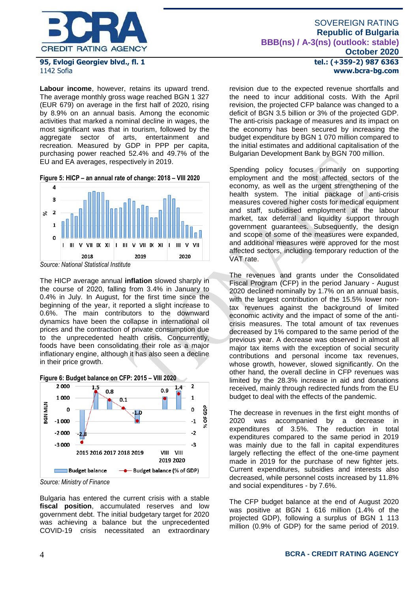

**Labour income**, however, retains its upward trend. The average monthly gross wage reached BGN 1 327 (EUR 679) on average in the first half of 2020, rising by 8.9% on an annual basis. Among the economic activities that marked a nominal decline in wages, the most significant was that in tourism, followed by the aggregate sector of arts, entertainment and recreation. Measured by GDP in PPP per capita, purchasing power reached 52.4% and 49.7% of the EU and EA averages, respectively in 2019.

**Figure 5: HICP – an annual rate of change: 2018 – VIII 2020**



The HICP average annual **inflation** slowed sharply in the course of 2020, falling from 3.4% in January to 0.4% in July. In August, for the first time since the beginning of the year, it reported a slight increase to 0.6%. The main contributors to the downward dynamics have been the collapse in international oil prices and the contraction of private consumption due to the unprecedented health crisis. Concurrently, foods have been consolidating their role as a major inflationary engine, although it has also seen a decline in their price growth.



*Source: Ministry of Finance*

Bulgaria has entered the current crisis with a stable **fiscal position**, accumulated reserves and low government debt. The initial budgetary target for 2020 was achieving a balance but the unprecedented COVID-19 crisis necessitated an extraordinary **tel.: (+359-2) 987 6363 www.bcra-bg.com** 

revision due to the expected revenue shortfalls and the need to incur additional costs. With the April revision, the projected CFP balance was changed to a deficit of BGN 3.5 billion or 3% of the projected GDP. The anti-crisis package of measures and its impact on the economy has been secured by increasing the budget expenditure by BGN 1 070 million compared to the initial estimates and additional capitalisation of the Bulgarian Development Bank by BGN 700 million.

Spending policy focuses primarily on supporting employment and the most affected sectors of the economy, as well as the urgent strengthening of the health system. The initial package of anti-crisis measures covered higher costs for medical equipment and staff, subsidised employment at the labour market, tax deferral and liquidity support through government guarantees. Subsequently, the design and scope of some of the measures were expanded, and additional measures were approved for the most affected sectors, including temporary reduction of the VAT rate.

The revenues and grants under the Consolidated Fiscal Program (CFP) in the period January - August 2020 declined nominally by 1.7% on an annual basis, with the largest contribution of the 15.5% lower nontax revenues against the background of limited economic activity and the impact of some of the anticrisis measures. The total amount of tax revenues decreased by 1% compared to the same period of the previous year. A decrease was observed in almost all major tax items with the exception of social security contributions and personal income tax revenues, whose growth, however, slowed significantly. On the other hand, the overall decline in CFP revenues was limited by the 28.3% increase in aid and donations received, mainly through redirected funds from the EU budget to deal with the effects of the pandemic.

The decrease in revenues in the first eight months of 2020 was accompanied by a decrease in expenditures of 3.5%. The reduction in total expenditures compared to the same period in 2019 was mainly due to the fall in capital expenditures largely reflecting the effect of the one-time payment made in 2019 for the purchase of new fighter jets. Current expenditures, subsidies and interests also decreased, while personnel costs increased by 11.8% and social expenditures - by 7.6%.

The CFP budget balance at the end of August 2020 was positive at BGN 1 616 million (1.4% of the projected GDP), following a surplus of BGN 1 113 million (0.9% of GDP) for the same period of 2019.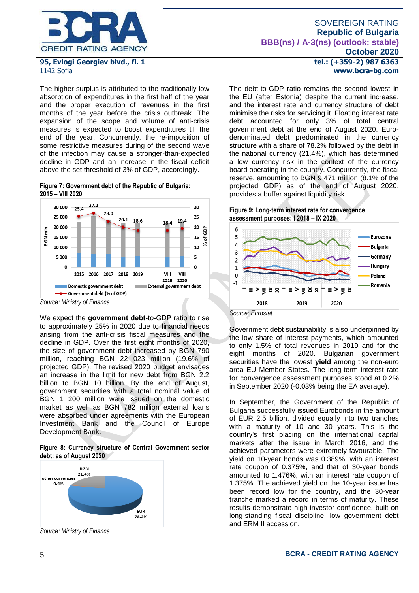

The higher surplus is attributed to the traditionally low absorption of expenditures in the first half of the year and the proper execution of revenues in the first months of the year before the crisis outbreak. The expansion of the scope and volume of anti-crisis measures is expected to boost expenditures till the end of the year. Concurrently, the re-imposition of some restrictive measures during of the second wave of the infection may cause a stronger-than-expected decline in GDP and an increase in the fiscal deficit above the set threshold of 3% of GDP, accordingly.

**Figure 7: Government debt of the Republic of Bulgaria: 2015 – VIII 2020**



*Source: Ministry of Finance*

We expect the **government debt**-to-GDP ratio to rise to approximately 25% in 2020 due to financial needs arising from the anti-crisis fiscal measures and the decline in GDP. Over the first eight months of 2020, the size of government debt increased by BGN 790 million, reaching BGN 22 023 million (19.6% of projected GDP). The revised 2020 budget envisages an increase in the limit for new debt from BGN 2.2 billion to BGN 10 billion. By the end of August, government securities with a total nominal value of BGN 1 200 million were issued on the domestic market as well as BGN 782 million external loans were absorbed under agreements with the European Investment Bank and the Council of Europe Development Bank.

**Figure 8: Currency structure of Central Government sector debt: as of August 2020**



*Source: Ministry of Finance*

**tel.: (+359-2) 987 6363 www.bcra-bg.com** 

The debt-to-GDP ratio remains the second lowest in the EU (after Estonia) despite the current increase, and the interest rate and currency structure of debt minimise the risks for servicing it. Floating interest rate debt accounted for only 3% of total central government debt at the end of August 2020. Eurodenominated debt predominated in the currency structure with a share of 78.2% followed by the debt in the national currency (21.4%), which has determined a low currency risk in the context of the currency board operating in the country. Concurrently, the fiscal reserve, amounting to BGN 9 471 million (8.1% of the projected GDP) as of the end of August 2020, provides a buffer against liquidity risk.

#### **Figure 9: Long-term interest rate for convergence assessment purposes: I 2018 – IX 2020**



*Source: Eurostat*

Government debt sustainability is also underpinned by the low share of interest payments, which amounted to only 1.5% of total revenues in 2019 and for the eight months of 2020. Bulgarian government securities have the lowest **yield** among the non-euro area EU Member States. The long-term interest rate for convergence assessment purposes stood at 0.2% in September 2020 (-0.03% being the EA average).

In September, the Government of the Republic of Bulgaria successfully issued Eurobonds in the amount of EUR 2.5 billion, divided equally into two tranches with a maturity of 10 and 30 years. This is the country's first placing on the international capital markets after the issue in March 2016, and the achieved parameters were extremely favourable. The yield on 10-year bonds was 0.389%, with an interest rate coupon of 0.375%, and that of 30-year bonds amounted to 1.476%, with an interest rate coupon of 1.375%. The achieved yield on the 10-year issue has been record low for the country, and the 30-year tranche marked a record in terms of maturity. These results demonstrate high investor confidence, built on long-standing fiscal discipline, low government debt and ERM II accession.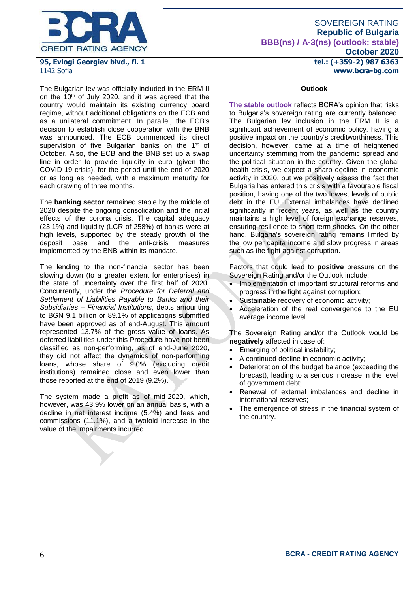

# SOVEREIGN RATING **Republic of Bulgaria BBB(ns) / A-3(ns) (outlook: stable) October 2020**

**tel.: (+359-2) 987 6363 www.bcra-bg.com** 

# **95, Evlogi Georgiev blvd., fl. 1** 1142 Sofia

The Bulgarian lev was officially included in the ERM II on the 10th of July 2020, and it was agreed that the country would maintain its existing currency board regime, without additional obligations on the ECB and as a unilateral commitment. In parallel, the ECB's decision to establish close cooperation with the BNB was announced. The ECB commenced its direct supervision of five Bulgarian banks on the 1<sup>st</sup> of October. Also, the ECB and the BNB set up a swap line in order to provide liquidity in euro (given the COVID-19 crisis), for the period until the end of 2020 or as long as needed, with a maximum maturity for each drawing of three months.

The **banking sector** remained stable by the middle of 2020 despite the ongoing consolidation and the initial effects of the corona crisis. The capital adequacy (23.1%) and liquidity (LCR of 258%) of banks were at high levels, supported by the steady growth of the deposit base and the anti-crisis measures deposit base and the anti-crisis measures implemented by the BNB within its mandate.

The lending to the non-financial sector has been slowing down (to a greater extent for enterprises) in the state of uncertainty over the first half of 2020. Concurrently, under the *Procedure for Deferral and Settlement of Liabilities Payable to Banks and their Subsidiaries – Financial Institutions*, debts amounting to BGN 9,1 billion or 89.1% of applications submitted have been approved as of end-August. This amount represented 13.7% of the gross value of loans. As deferred liabilities under this Procedure have not been classified as non-performing, as of end-June 2020, they did not affect the dynamics of non-performing loans, whose share of 9.0% (excluding credit institutions) remained close and even lower than those reported at the end of 2019 (9.2%).

The system made a profit as of mid-2020, which, however, was 43.9% lower on an annual basis, with a decline in net interest income (5.4%) and fees and commissions (11.1%), and a twofold increase in the value of the impairments incurred.

### **Outlook**

**The stable outlook** reflects BCRA's opinion that risks to Bulgaria's sovereign rating are currently balanced. The Bulgarian lev inclusion in the ERM II is a significant achievement of economic policy, having a positive impact on the country's creditworthiness. This decision, however, came at a time of heightened uncertainty stemming from the pandemic spread and the political situation in the country. Given the global health crisis, we expect a sharp decline in economic activity in 2020, but we positively assess the fact that Bulgaria has entered this crisis with a favourable fiscal position, having one of the two lowest levels of public debt in the EU. External imbalances have declined significantly in recent years, as well as the country maintains a high level of foreign exchange reserves, ensuring resilience to short-term shocks. On the other hand, Bulgaria's sovereign rating remains limited by the low per capita income and slow progress in areas such as the fight against corruption.

Factors that could lead to **positive** pressure on the Sovereign Rating and/or the Outlook include:

- Implementation of important structural reforms and progress in the fight against corruption;
- Sustainable recovery of economic activity;
- Acceleration of the real convergence to the EU average income level.

The Sovereign Rating and/or the Outlook would be **negatively** affected in case of:

- Emerging of political instability;
- A continued decline in economic activity;
- Deterioration of the budget balance (exceeding the forecast), leading to a serious increase in the level of government debt;
- Renewal of external imbalances and decline in international reserves;
- The emergence of stress in the financial system of the country.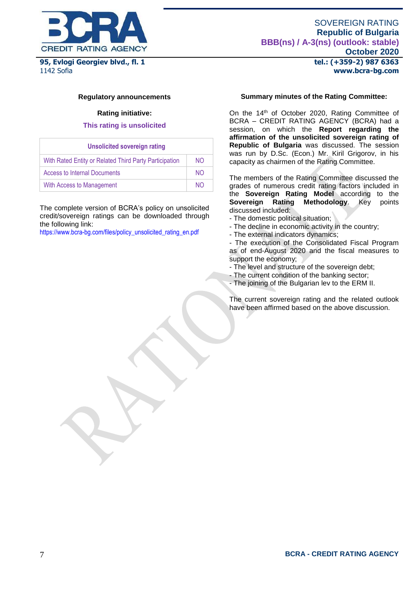

# SOVEREIGN RATING **Republic of Bulgaria BBB(ns) / A-3(ns) (outlook: stable) October 2020**

**tel.: (+359-2) 987 6363 www.bcra-bg.com** 

### **Regulatory announcements**

### **Rating initiative:**

### **This rating is unsolicited**

| <b>Unsolicited sovereign rating</b>                    |           |
|--------------------------------------------------------|-----------|
| With Rated Entity or Related Third Party Participation | NO.       |
| <b>Access to Internal Documents</b>                    | <b>NO</b> |
| With Access to Management                              | NΩ        |

The complete version of BCRA's policy on unsolicited credit/sovereign ratings can be downloaded through the following link:

[https://www.bcra-bg.com/files/policy\\_unsolicited\\_rating\\_en.pdf](https://www.bcra-bg.com/files/policy_unsolicited_rating_en.pdf)

# **Summary minutes of the Rating Committee:**

On the 14<sup>th</sup> of October 2020, Rating Committee of BCRA – CREDIT RATING AGENCY (BCRA) had a session, on which the **Report regarding the affirmation of the unsolicited sovereign rating of Republic of Bulgaria** was discussed. The session was run by D.Sc. (Econ.) Mr. Kiril Grigorov, in his capacity as chairmen of the Rating Committee.

The members of the Rating Committee discussed the grades of numerous credit rating factors included in the **Sovereign Rating Model** according to the **Sovereign Rating Methodology**. Key points discussed included:

- The domestic political situation;
- The decline in economic activity in the country;
- The external indicators dynamics;

- The execution of the Consolidated Fiscal Program as of end-August 2020 and the fiscal measures to support the economy;

- The level and structure of the sovereign debt;
- The current condition of the banking sector;
- The joining of the Bulgarian lev to the ERM II.

The current sovereign rating and the related outlook have been affirmed based on the above discussion.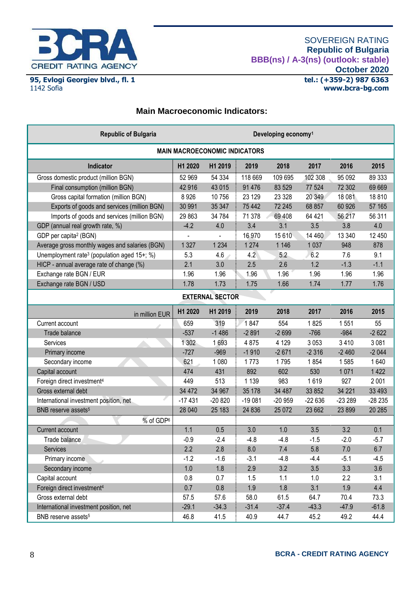

**95, Evlogi Georgiev blvd., fl. 1**

1142 Sofia

# **Main Macroeconomic Indicators:**

| <b>Republic of Bulgaria</b><br>Developing economy <sup>1</sup> |          |                        |          |          |          |          |          |
|----------------------------------------------------------------|----------|------------------------|----------|----------|----------|----------|----------|
| <b>MAIN MACROECONOMIC INDICATORS</b>                           |          |                        |          |          |          |          |          |
| Indicator                                                      | H1 2020  | H1 2019                | 2019     | 2018     | 2017     | 2016     | 2015     |
| Gross domestic product (million BGN)                           | 52 969   | 54 334                 | 118 669  | 109 695  | 102 308  | 95 092   | 89 333   |
| Final consumption (million BGN)                                | 42 916   | 43 015                 | 91 4 7 6 | 83 529   | 77 524   | 72 302   | 69 669   |
| Gross capital formation (million BGN)                          | 8926     | 10756                  | 23 1 29  | 23 3 28  | 20 349   | 18 081   | 18810    |
| Exports of goods and services (million BGN)                    | 30 991   | 35 347                 | 75 442   | 72 245   | 68 857   | 60 926   | 57 165   |
| Imports of goods and services (million BGN)                    | 29 863   | 34 784                 | 71 378   | 69 408   | 64 421   | 56 217   | 56 311   |
| GDP (annual real growth rate, %)                               | $-4.2$   | 4.0                    | 3.4      | 3.1      | 3.5      | 3.8      | 4.0      |
| GDP per capita <sup>2</sup> (BGN)                              |          | L,                     | 16 970   | 15 6 10  | 14 4 60  | 13 340   | 12 450   |
| Average gross monthly wages and salaries (BGN)                 | 1327     | 1 2 3 4                | 1 2 7 4  | 1 1 4 6  | 1 0 3 7  | 948      | 878      |
| Unemployment rate <sup>3</sup> (population aged 15+; %)        | 5.3      | 4.6                    | 4.2      | 5.2      | 6.2      | 7.6      | 9.1      |
| HICP - annual average rate of change (%)                       | 2.1      | 3.0                    | 2.5      | 2.6      | 1.2      | $-1.3$   | $-1.1$   |
| Exchange rate BGN / EUR                                        | 1.96     | 1.96                   | 1.96     | 1.96     | 1.96     | 1.96     | 1.96     |
| Exchange rate BGN / USD                                        | 1.78     | 1.73                   | 1.75     | 1.66     | 1.74     | 1.77     | 1.76     |
|                                                                |          | <b>EXTERNAL SECTOR</b> |          |          |          |          |          |
| in million EUR                                                 | H1 2020  | H1 2019                | 2019     | 2018     | 2017     | 2016     | 2015     |
| Current account                                                | 659      | 319                    | 1847     | 554      | 1825     | 1551     | 55       |
| Trade balance                                                  | $-537$   | $-1486$                | $-2891$  | $-2699$  | $-766$   | $-984$   | $-2622$  |
| Services                                                       | 1 302    | 1693                   | 4875     | 4 1 2 9  | 3 0 5 3  | 3 4 1 0  | 3 0 8 1  |
| Primary income                                                 | $-727$   | $-969$                 | $-1910$  | $-2671$  | $-2316$  | $-2460$  | $-2044$  |
| Secondary income                                               | 621      | 1 0 8 0                | 1773     | 1795     | 1854     | 1585     | 1640     |
| Capital account                                                | 474      | 431                    | 892      | 602      | 530      | 1 0 7 1  | 1 4 2 2  |
| Foreign direct investment <sup>4</sup>                         | 449      | 513                    | 1 1 3 9  | 983      | 1619     | 927      | 2 0 0 1  |
| Gross external debt                                            | 34 472   | 34 967                 | 35 178   | 34 487   | 33 852   | 34 221   | 33 4 93  |
| International investment position, net                         | $-17431$ | $-20820$               | $-19081$ | $-20959$ | $-22636$ | $-23289$ | $-28235$ |
| BNB reserve assets <sup>5</sup>                                | 28 040   | 25 183                 | 24 8 36  | 25 072   | 23 662   | 23 899   | 20 28 5  |
| % of GDP <sup>6</sup>                                          |          |                        |          |          |          |          |          |
| Current account                                                | 1.1      | 0.5                    | 3.0      | 1.0      | 3.5      | 3.2      | 0.1      |
| Trade balance                                                  | $-0.9$   | $-2.4$                 | $-4.8$   | $-4.8$   | $-1.5$   | $-2.0$   | $-5.7$   |
| Services                                                       | 2.2      | 2.8                    | 8.0      | 7.4      | 5.8      | 7.0      | 6.7      |
| Primary income                                                 | $-1.2$   | $-1.6$                 | $-3.1$   | $-4.8$   | $-4.4$   | $-5.1$   | $-4.5$   |
| Secondary income                                               | $1.0$    | 1.8                    | 2.9      | 3.2      | 3.5      | 3.3      | 3.6      |
| Capital account                                                | 0.8      | 0.7                    | 1.5      | 1.1      | 1.0      | 2.2      | 3.1      |
| Foreign direct investment <sup>4</sup>                         | 0.7      | 0.8                    | 1.9      | 1.8      | 3.1      | 1.9      | 4.4      |
| Gross external debt                                            | 57.5     | 57.6                   | 58.0     | 61.5     | 64.7     | 70.4     | 73.3     |
| International investment position, net                         | $-29.1$  | $-34.3$                | $-31.4$  | $-37.4$  | $-43.3$  | $-47.9$  | $-61.8$  |
| BNB reserve assets <sup>5</sup>                                | 46.8     | 41.5                   | 40.9     | 44.7     | 45.2     | 49.2     | 44.4     |